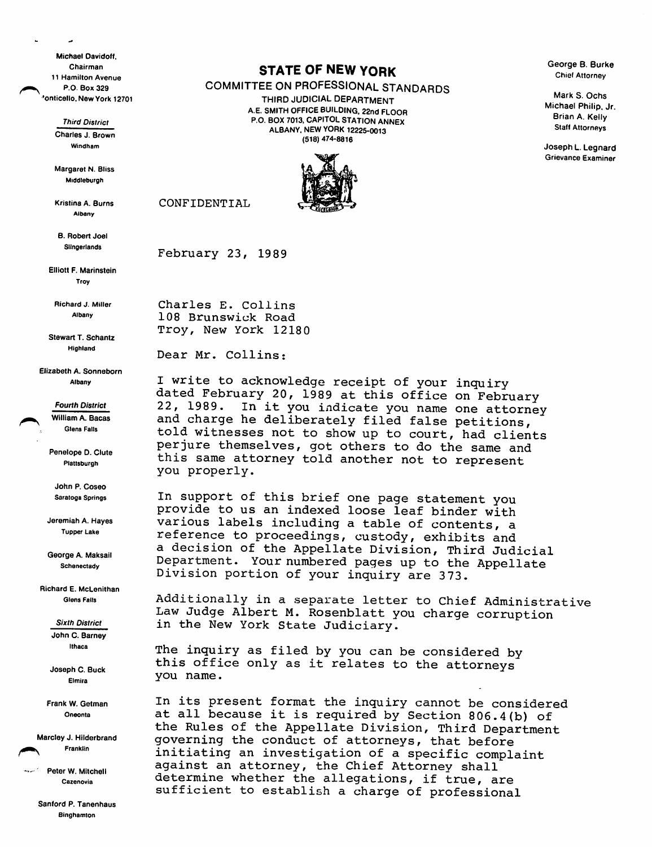Michael Oavidoff, Chairman 11 Hamilton Avenue P.O. Box 329 'onticello. New York 12701

> Third District Charles J. Brown Windham

> Margaret N. Bliss Middleburgh

Kristina A. Burns Albany

B. Robert Joel Slingerlands

Elliott F. Marinstein Trov

Richard J. Miller Albany

Stewart T. Schantz Highland

Elizabeth A. Sonneborn Albany

> Fourth District William A. Bacas **Glens Falls**

Penelope D. Clute **Plattsburgh** 

John P. Coseo Saratoga Springs

Jeremiah A. Hayes Tupper Lake

George A. Maksail **Schenectady** 

Richard E. McLenithan Glens Falls

> Sixth District John C. Barney Ithaca

Joseph C. Buck Elmira

Frank W. Getman Oneonta

Marcley J. Hilderbrand Franklin

Peter W. Mitchell Cazenovia

> Sanford P. Tanenhaus **Binghamton**

## STATE OF NEW YORK

COMMITTEE ON PROFESSIONAL STANDARDS THIRD JUDICIAL DEPARTMENT

A.E. SMITH OFFICE BUILDING, 22nd FLOOR P.O. BOX 7013, CAPITOL STATION ANNEX ALBANY. NEW YORK 12225-0013 (518) 474-8816



George B. Burke Chief Attorney

Mark S. Ochs Michael Philip. Jr. Brian A. Kelly Staff Attorneys

Joseph L. Legnard Grievance Examiner

February 23, 1989

CONFIDENTIAL

Charles E. Collins 108 Brunswick Road Troy, New York 12180

Dear Mr. Collins:

I write to acknowledge receipt of your inquiry dated February 20, 1989 at this office on February 22, 1989. In it you indicate you name one attorney and charge he deliberately filed false petitions, told witnesses not to show up to court, had clients perjure themselves, got others to do the same and this same attorney told another not to represent you properly.

In support of this brief one page statement you provide to us an indexed loose leaf binder with various labels including a table of contents, a reference to proceedings, custody, exhibits and a decision of the Appellate Division, Third Judicial Department. Your numbered pages up to the Appellate Division portion of your inquiry are 373.

Additionally in a separate letter to Chief Administrative Law Judge Albert M. Rosenblatt you charge corruption in the New York State Judiciary.

The inquiry as filed by you can be considered by this office only as it relates to the attorneys you name.

In its present format the inquiry cannot be considered at all because it is required by Section 806.4(b) of the Rules of the Appellate Division, Third Department governing the conduct of attorneys, that before initiating an investigation of a specific complaint against an attorney, the Chief Attorney shall determine whether the allegations, if true, are sufficient to establish a charge of professional